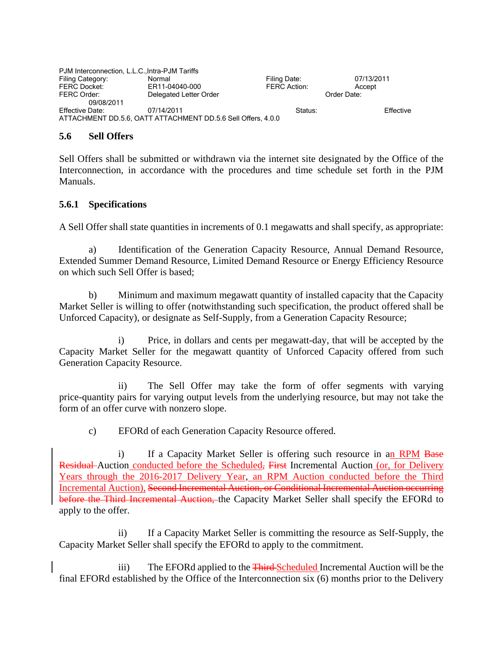| PJM Interconnection, L.L.C., Intra-PJM Tariffs |                                                              |                     |             |           |
|------------------------------------------------|--------------------------------------------------------------|---------------------|-------------|-----------|
| Filing Category:                               | Normal                                                       | Filing Date:        | 07/13/2011  |           |
| <b>FERC Docket:</b>                            | ER11-04040-000                                               | <b>FERC Action:</b> | Accept      |           |
| FERC Order:                                    | Delegated Letter Order                                       |                     | Order Date: |           |
| 09/08/2011                                     |                                                              |                     |             |           |
| Effective Date:                                | 07/14/2011                                                   | Status:             |             | Effective |
|                                                | ATTACHMENT DD.5.6, OATT ATTACHMENT DD.5.6 Sell Offers, 4.0.0 |                     |             |           |

#### **5.6 Sell Offers**

Sell Offers shall be submitted or withdrawn via the internet site designated by the Office of the Interconnection, in accordance with the procedures and time schedule set forth in the PJM Manuals.

#### **5.6.1 Specifications**

A Sell Offer shall state quantities in increments of 0.1 megawatts and shall specify, as appropriate:

 a) Identification of the Generation Capacity Resource, Annual Demand Resource, Extended Summer Demand Resource, Limited Demand Resource or Energy Efficiency Resource on which such Sell Offer is based;

 b) Minimum and maximum megawatt quantity of installed capacity that the Capacity Market Seller is willing to offer (notwithstanding such specification, the product offered shall be Unforced Capacity), or designate as Self-Supply, from a Generation Capacity Resource;

i) Price, in dollars and cents per megawatt-day, that will be accepted by the Capacity Market Seller for the megawatt quantity of Unforced Capacity offered from such Generation Capacity Resource.

ii) The Sell Offer may take the form of offer segments with varying price-quantity pairs for varying output levels from the underlying resource, but may not take the form of an offer curve with nonzero slope.

c) EFORd of each Generation Capacity Resource offered.

i) If a Capacity Market Seller is offering such resource in an RPM Base Residual Auction conducted before the Scheduled, First Incremental Auction (or, for Delivery Years through the 2016-2017 Delivery Year, an RPM Auction conducted before the Third Incremental Auction), Second Incremental Auction, or Conditional Incremental Auction occurring before the Third Incremental Auction, the Capacity Market Seller shall specify the EFORd to apply to the offer.

ii) If a Capacity Market Seller is committing the resource as Self-Supply, the Capacity Market Seller shall specify the EFORd to apply to the commitment.

iii) The EFORd applied to the Third-Scheduled Incremental Auction will be the final EFORd established by the Office of the Interconnection six (6) months prior to the Delivery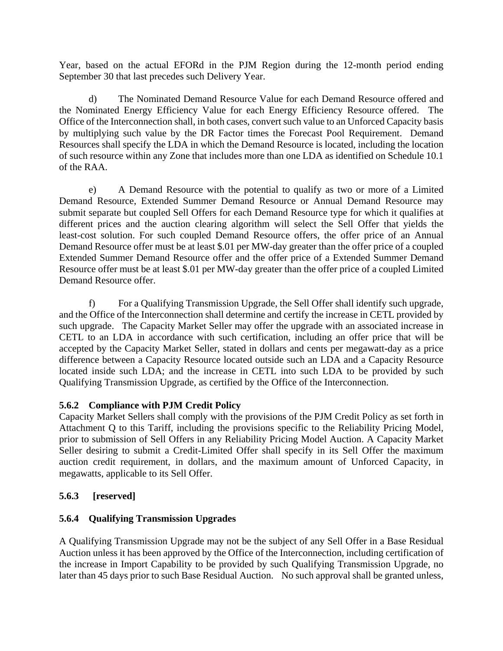Year, based on the actual EFORd in the PJM Region during the 12-month period ending September 30 that last precedes such Delivery Year.

 d) The Nominated Demand Resource Value for each Demand Resource offered and the Nominated Energy Efficiency Value for each Energy Efficiency Resource offered. The Office of the Interconnection shall, in both cases, convert such value to an Unforced Capacity basis by multiplying such value by the DR Factor times the Forecast Pool Requirement. Demand Resources shall specify the LDA in which the Demand Resource is located, including the location of such resource within any Zone that includes more than one LDA as identified on Schedule 10.1 of the RAA.

e) A Demand Resource with the potential to qualify as two or more of a Limited Demand Resource, Extended Summer Demand Resource or Annual Demand Resource may submit separate but coupled Sell Offers for each Demand Resource type for which it qualifies at different prices and the auction clearing algorithm will select the Sell Offer that yields the least-cost solution. For such coupled Demand Resource offers, the offer price of an Annual Demand Resource offer must be at least \$.01 per MW-day greater than the offer price of a coupled Extended Summer Demand Resource offer and the offer price of a Extended Summer Demand Resource offer must be at least \$.01 per MW-day greater than the offer price of a coupled Limited Demand Resource offer.

f) For a Qualifying Transmission Upgrade, the Sell Offer shall identify such upgrade, and the Office of the Interconnection shall determine and certify the increase in CETL provided by such upgrade. The Capacity Market Seller may offer the upgrade with an associated increase in CETL to an LDA in accordance with such certification, including an offer price that will be accepted by the Capacity Market Seller, stated in dollars and cents per megawatt-day as a price difference between a Capacity Resource located outside such an LDA and a Capacity Resource located inside such LDA; and the increase in CETL into such LDA to be provided by such Qualifying Transmission Upgrade, as certified by the Office of the Interconnection.

# **5.6.2 Compliance with PJM Credit Policy**

Capacity Market Sellers shall comply with the provisions of the PJM Credit Policy as set forth in Attachment Q to this Tariff, including the provisions specific to the Reliability Pricing Model, prior to submission of Sell Offers in any Reliability Pricing Model Auction. A Capacity Market Seller desiring to submit a Credit-Limited Offer shall specify in its Sell Offer the maximum auction credit requirement, in dollars, and the maximum amount of Unforced Capacity, in megawatts, applicable to its Sell Offer.

# **5.6.3 [reserved]**

# **5.6.4 Qualifying Transmission Upgrades**

A Qualifying Transmission Upgrade may not be the subject of any Sell Offer in a Base Residual Auction unless it has been approved by the Office of the Interconnection, including certification of the increase in Import Capability to be provided by such Qualifying Transmission Upgrade, no later than 45 days prior to such Base Residual Auction. No such approval shall be granted unless,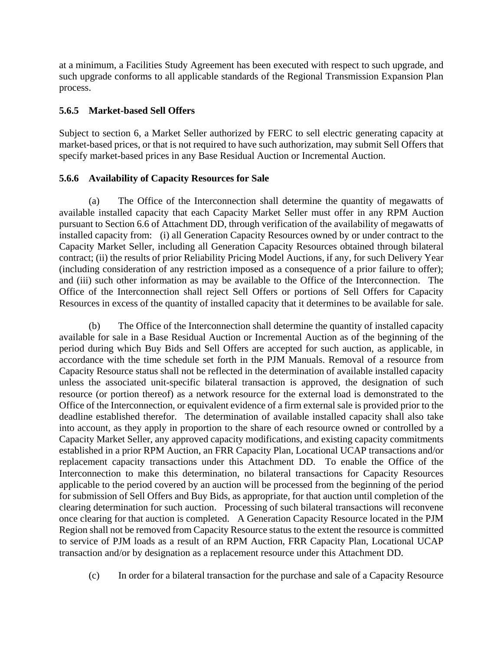at a minimum, a Facilities Study Agreement has been executed with respect to such upgrade, and such upgrade conforms to all applicable standards of the Regional Transmission Expansion Plan process.

#### **5.6.5 Market-based Sell Offers**

Subject to section 6, a Market Seller authorized by FERC to sell electric generating capacity at market-based prices, or that is not required to have such authorization, may submit Sell Offers that specify market-based prices in any Base Residual Auction or Incremental Auction.

### **5.6.6 Availability of Capacity Resources for Sale**

 (a) The Office of the Interconnection shall determine the quantity of megawatts of available installed capacity that each Capacity Market Seller must offer in any RPM Auction pursuant to Section 6.6 of Attachment DD, through verification of the availability of megawatts of installed capacity from: (i) all Generation Capacity Resources owned by or under contract to the Capacity Market Seller, including all Generation Capacity Resources obtained through bilateral contract; (ii) the results of prior Reliability Pricing Model Auctions, if any, for such Delivery Year (including consideration of any restriction imposed as a consequence of a prior failure to offer); and (iii) such other information as may be available to the Office of the Interconnection. The Office of the Interconnection shall reject Sell Offers or portions of Sell Offers for Capacity Resources in excess of the quantity of installed capacity that it determines to be available for sale.

 (b) The Office of the Interconnection shall determine the quantity of installed capacity available for sale in a Base Residual Auction or Incremental Auction as of the beginning of the period during which Buy Bids and Sell Offers are accepted for such auction, as applicable, in accordance with the time schedule set forth in the PJM Manuals. Removal of a resource from Capacity Resource status shall not be reflected in the determination of available installed capacity unless the associated unit-specific bilateral transaction is approved, the designation of such resource (or portion thereof) as a network resource for the external load is demonstrated to the Office of the Interconnection, or equivalent evidence of a firm external sale is provided prior to the deadline established therefor. The determination of available installed capacity shall also take into account, as they apply in proportion to the share of each resource owned or controlled by a Capacity Market Seller, any approved capacity modifications, and existing capacity commitments established in a prior RPM Auction, an FRR Capacity Plan, Locational UCAP transactions and/or replacement capacity transactions under this Attachment DD. To enable the Office of the Interconnection to make this determination, no bilateral transactions for Capacity Resources applicable to the period covered by an auction will be processed from the beginning of the period for submission of Sell Offers and Buy Bids, as appropriate, for that auction until completion of the clearing determination for such auction. Processing of such bilateral transactions will reconvene once clearing for that auction is completed. A Generation Capacity Resource located in the PJM Region shall not be removed from Capacity Resource status to the extent the resource is committed to service of PJM loads as a result of an RPM Auction, FRR Capacity Plan, Locational UCAP transaction and/or by designation as a replacement resource under this Attachment DD.

(c) In order for a bilateral transaction for the purchase and sale of a Capacity Resource